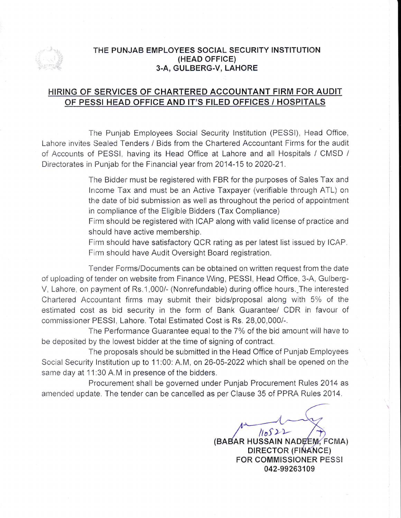

#### THE PUNJAB EMPLOYEES SOCIAL SECURITY INSTITUTION (HEAD OFFICE) 3.A, GULBERG-V, LAHORE

# <u>HIRING OF SERVICES OF CHARTERED ACCOUNTANT FIRM FOR AUDIT</u> OF PESSI HEAD OFFICE AND IT'S FILED OFFICES / HOSPITALS

The Punjab Employees Social Security lnstitution (PESSI), Head Office, Lahore invites Sealed Tenders / Bids from the Chartered Accountant Firms for the audit of Accounts of PESSI, having its Head Office at Lahore and all Hospitals / CMSD / Directorates in Punjab for the Financial year from 2014-15 to 2020-21.

> The Bidder must be registered with FBR for the purposes of Sales Tax and lncome Tax and must be an Active Taxpayer (verifiable through ATL) on the date of bid submission as well as throughout the period of appointment in compliance of the Eligible Bidders (Tax Compliance)

> Firm should be registered with ICAP along with valid license of practice and should have active membership.

> Firm should have satisfactory QCR rating as per latest list issued by ICAP. Firm should have Audit Oversight Board registration.

Tender Forms/Documents can be obtained on written request from the date of uploading of tender on website from Finance Wing, PESSI, Head Office, 3-A, Gulberg-V, Lahore, on payment of Rs.1,000/- (Nonrefundable) during office hours. The interested Chartered Accountant firms may submit their bids/proposal along with 5% of the estimated cost as bid security in the form of Bank Guarantee/ CDR in favour of commissioner PESSI, Lahore. Total Estimated Cost is Rs. 28,00,000/-.

The Performance Guarantee equal to the 7% of the bid amount will have to be deposited by the lowest bidder at the time of signing of contract.

The proposals should be submitted in the Head Office of Punjab Employees Social Security Institution up to 11:00: A.M, on 26-05-2022 which shall be opened on the same day at 11:30 A.M in presence of the bidders.

Procurement shall be governed under Punjab Procurement Rules 2014 as amended update. The tender can be cancelled as per Clause 35 of PPRA Rules 2014.

> $110522$ (BABAR HUSSAIN NADĘ́EM, FCMA) DIRECTOR (FINANCE) FOR COMMISSIONER PESSI 042-99263109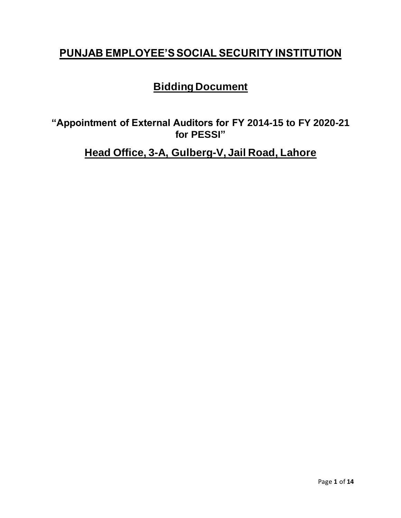# **PUNJAB EMPLOYEE'S SOCIAL SECURITY INSTITUTION**

# **Bidding Document**

**"Appointment of External Auditors for FY 2014-15 to FY 2020-21 for PESSI"**

**Head Office, 3-A, Gulberg-V, Jail Road, Lahore**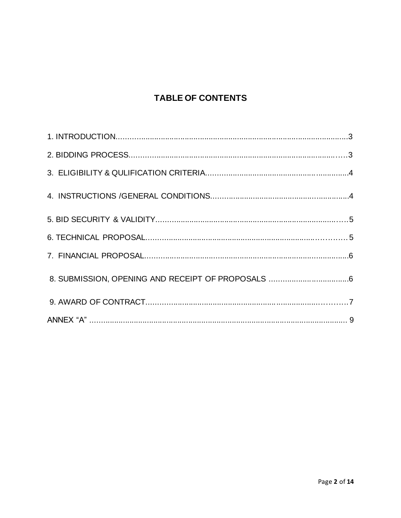# **TABLE OF CONTENTS**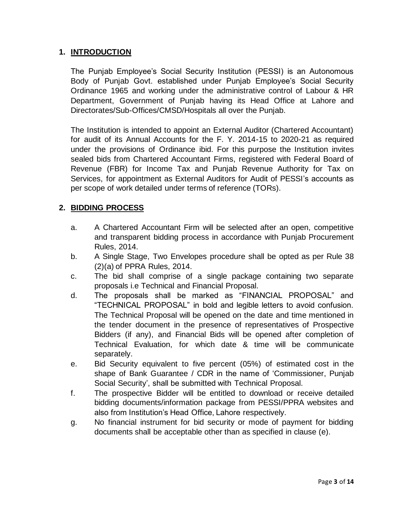# **1. INTRODUCTION**

The Punjab Employee's Social Security Institution (PESSI) is an Autonomous Body of Punjab Govt. established under Punjab Employee's Social Security Ordinance 1965 and working under the administrative control of Labour & HR Department, Government of Punjab having its Head Office at Lahore and Directorates/Sub-Offices/CMSD/Hospitals all over the Punjab.

The Institution is intended to appoint an External Auditor (Chartered Accountant) for audit of its Annual Accounts for the F. Y. 2014-15 to 2020-21 as required under the provisions of Ordinance ibid. For this purpose the Institution invites sealed bids from Chartered Accountant Firms, registered with Federal Board of Revenue (FBR) for Income Tax and Punjab Revenue Authority for Tax on Services, for appointment as External Auditors for Audit of PESSI's accounts as per scope of work detailed under terms of reference (TORs).

## **2. BIDDING PROCESS**

- a. A Chartered Accountant Firm will be selected after an open, competitive and transparent bidding process in accordance with Punjab Procurement Rules, 2014.
- b. A Single Stage, Two Envelopes procedure shall be opted as per Rule 38 (2)(a) of PPRA Rules, 2014.
- c. The bid shall comprise of a single package containing two separate proposals i.e Technical and Financial Proposal.
- d. The proposals shall be marked as "FINANCIAL PROPOSAL" and "TECHNICAL PROPOSAL" in bold and legible letters to avoid confusion. The Technical Proposal will be opened on the date and time mentioned in the tender document in the presence of representatives of Prospective Bidders (if any), and Financial Bids will be opened after completion of Technical Evaluation, for which date & time will be communicate separately.
- e. Bid Security equivalent to five percent (05%) of estimated cost in the shape of Bank Guarantee / CDR in the name of 'Commissioner, Punjab Social Security', shall be submitted with Technical Proposal.
- f. The prospective Bidder will be entitled to download or receive detailed bidding documents/information package from PESSI/PPRA websites and also from Institution's Head Office, Lahore respectively.
- g. No financial instrument for bid security or mode of payment for bidding documents shall be acceptable other than as specified in clause (e).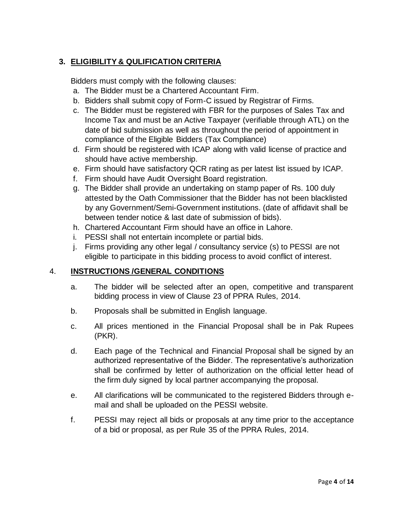# **3. ELIGIBILITY & QULIFICATION CRITERIA**

Bidders must comply with the following clauses:

- a. The Bidder must be a Chartered Accountant Firm.
- b. Bidders shall submit copy of Form-C issued by Registrar of Firms.
- c. The Bidder must be registered with FBR for the purposes of Sales Tax and Income Tax and must be an Active Taxpayer (verifiable through ATL) on the date of bid submission as well as throughout the period of appointment in compliance of the Eligible Bidders (Tax Compliance)
- d. Firm should be registered with ICAP along with valid license of practice and should have active membership.
- e. Firm should have satisfactory QCR rating as per latest list issued by ICAP.
- f. Firm should have Audit Oversight Board registration.
- g. The Bidder shall provide an undertaking on stamp paper of Rs. 100 duly attested by the Oath Commissioner that the Bidder has not been blacklisted by any Government/Semi-Government institutions. (date of affidavit shall be between tender notice & last date of submission of bids).
- h. Chartered Accountant Firm should have an office in Lahore.
- i. PESSI shall not entertain incomplete or partial bids.
- j. Firms providing any other legal / consultancy service (s) to PESSI are not eligible to participate in this bidding process to avoid conflict of interest.

# 4. **INSTRUCTIONS /GENERAL CONDITIONS**

- a. The bidder will be selected after an open, competitive and transparent bidding process in view of Clause 23 of PPRA Rules, 2014.
- b. Proposals shall be submitted in English language.
- c. All prices mentioned in the Financial Proposal shall be in Pak Rupees (PKR).
- d. Each page of the Technical and Financial Proposal shall be signed by an authorized representative of the Bidder. The representative's authorization shall be confirmed by letter of authorization on the official letter head of the firm duly signed by local partner accompanying the proposal.
- e. All clarifications will be communicated to the registered Bidders through email and shall be uploaded on the PESSI website.
- f. PESSI may reject all bids or proposals at any time prior to the acceptance of a bid or proposal, as per Rule 35 of the PPRA Rules, 2014.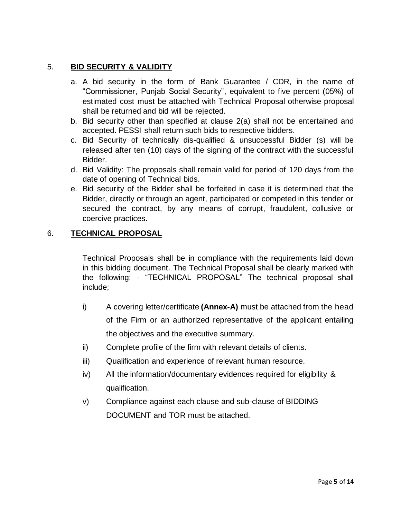# 5. **BID SECURITY & VALIDITY**

- a. A bid security in the form of Bank Guarantee / CDR, in the name of "Commissioner, Punjab Social Security", equivalent to five percent (05%) of estimated cost must be attached with Technical Proposal otherwise proposal shall be returned and bid will be rejected.
- b. Bid security other than specified at clause 2(a) shall not be entertained and accepted. PESSI shall return such bids to respective bidders.
- c. Bid Security of technically dis-qualified & unsuccessful Bidder (s) will be released after ten (10) days of the signing of the contract with the successful Bidder.
- d. Bid Validity: The proposals shall remain valid for period of 120 days from the date of opening of Technical bids.
- e. Bid security of the Bidder shall be forfeited in case it is determined that the Bidder, directly or through an agent, participated or competed in this tender or secured the contract, by any means of corrupt, fraudulent, collusive or coercive practices.

## 6. **TECHNICAL PROPOSAL**

Technical Proposals shall be in compliance with the requirements laid down in this bidding document. The Technical Proposal shall be clearly marked with the following: - "TECHNICAL PROPOSAL" The technical proposal shall include;

- i) A covering letter/certificate **(Annex-A)** must be attached from the head of the Firm or an authorized representative of the applicant entailing the objectives and the executive summary.
- ii) Complete profile of the firm with relevant details of clients.
- iii) Qualification and experience of relevant human resource.
- iv) All the information/documentary evidences required for eligibility & qualification.
- v) Compliance against each clause and sub-clause of BIDDING DOCUMENT and TOR must be attached.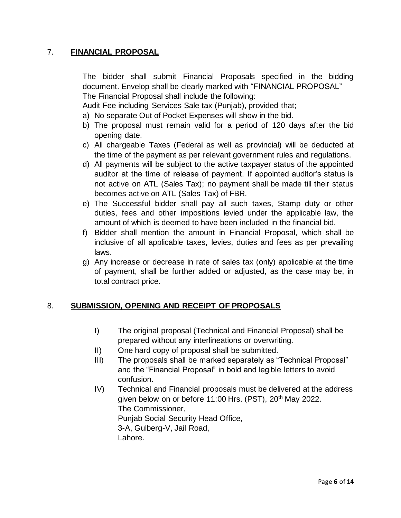# 7. **FINANCIAL PROPOSAL**

The bidder shall submit Financial Proposals specified in the bidding document. Envelop shall be clearly marked with "FINANCIAL PROPOSAL" The Financial Proposal shall include the following:

Audit Fee including Services Sale tax (Punjab), provided that;

a) No separate Out of Pocket Expenses will show in the bid.

- b) The proposal must remain valid for a period of 120 days after the bid opening date.
- c) All chargeable Taxes (Federal as well as provincial) will be deducted at the time of the payment as per relevant government rules and regulations.
- d) All payments will be subject to the active taxpayer status of the appointed auditor at the time of release of payment. If appointed auditor's status is not active on ATL (Sales Tax); no payment shall be made till their status becomes active on ATL (Sales Tax) of FBR.
- e) The Successful bidder shall pay all such taxes, Stamp duty or other duties, fees and other impositions levied under the applicable law, the amount of which is deemed to have been included in the financial bid.
- f) Bidder shall mention the amount in Financial Proposal, which shall be inclusive of all applicable taxes, levies, duties and fees as per prevailing laws.
- g) Any increase or decrease in rate of sales tax (only) applicable at the time of payment, shall be further added or adjusted, as the case may be, in total contract price.

# 8. **SUBMISSION, OPENING AND RECEIPT OF PROPOSALS**

- I) The original proposal (Technical and Financial Proposal) shall be prepared without any interlineations or overwriting.
- II) One hard copy of proposal shall be submitted.
- III) The proposals shall be marked separately as "Technical Proposal" and the "Financial Proposal" in bold and legible letters to avoid confusion.
- IV) Technical and Financial proposals must be delivered at the address given below on or before 11:00 Hrs. (PST), 20<sup>th</sup> May 2022. The Commissioner, Punjab Social Security Head Office, 3-A, Gulberg-V, Jail Road, Lahore.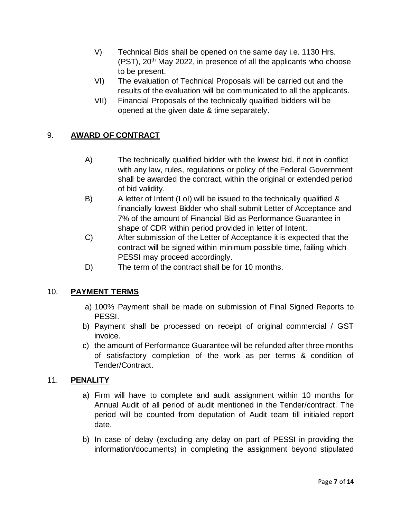- V) Technical Bids shall be opened on the same day i.e. 1130 Hrs.  $(PST)$ ,  $20<sup>th</sup>$  May 2022, in presence of all the applicants who choose to be present.
- VI) The evaluation of Technical Proposals will be carried out and the results of the evaluation will be communicated to all the applicants.
- VII) Financial Proposals of the technically qualified bidders will be opened at the given date & time separately.

# 9. **AWARD OF CONTRACT**

- A) The technically qualified bidder with the lowest bid, if not in conflict with any law, rules, regulations or policy of the Federal Government shall be awarded the contract, within the original or extended period of bid validity.
- B) A letter of Intent (LoI) will be issued to the technically qualified & financially lowest Bidder who shall submit Letter of Acceptance and 7% of the amount of Financial Bid as Performance Guarantee in shape of CDR within period provided in letter of Intent.
- C) After submission of the Letter of Acceptance it is expected that the contract will be signed within minimum possible time, failing which PESSI may proceed accordingly.
- D) The term of the contract shall be for 10 months.

#### 10. **PAYMENT TERMS**

- a) 100% Payment shall be made on submission of Final Signed Reports to PESSI.
- b) Payment shall be processed on receipt of original commercial / GST invoice.
- c) the amount of Performance Guarantee will be refunded after three months of satisfactory completion of the work as per terms & condition of Tender/Contract.

#### 11. **PENALITY**

- a) Firm will have to complete and audit assignment within 10 months for Annual Audit of all period of audit mentioned in the Tender/contract. The period will be counted from deputation of Audit team till initialed report date.
- b) In case of delay (excluding any delay on part of PESSI in providing the information/documents) in completing the assignment beyond stipulated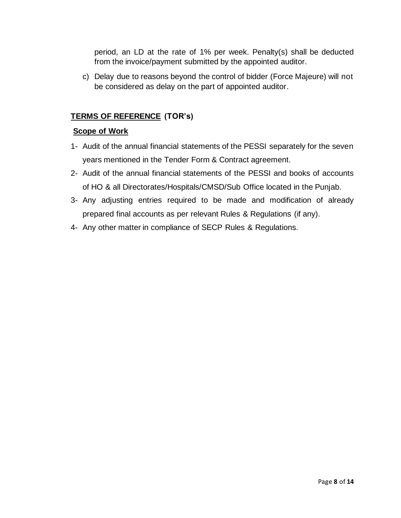period, an LD at the rate of 1% per week. Penalty(s) shall be deducted from the invoice/payment submitted by the appointed auditor.

c) Delay due to reasons beyond the control of bidder (Force Majeure) will not be considered as delay on the part of appointed auditor.

# **TERMS OF REFERENCE (TOR's)**

# **Scope of Work**

- 1- Audit of the annual financial statements of the PESSI separately for the seven years mentioned in the Tender Form & Contract agreement.
- 2- Audit of the annual financial statements of the PESSI and books of accounts of HO & all Directorates/Hospitals/CMSD/Sub Office located in the Punjab.
- 3- Any adjusting entries required to be made and modification of already prepared final accounts as per relevant Rules & Regulations (if any).
- 4- Any other matter in compliance of SECP Rules & Regulations.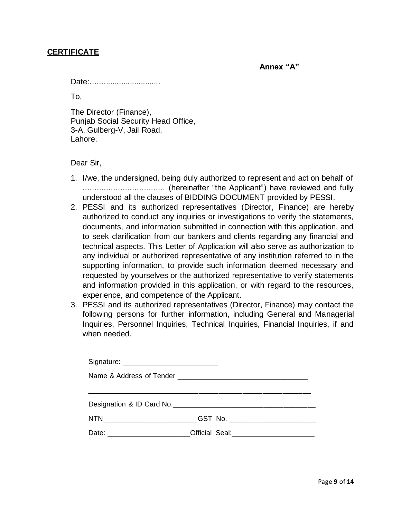#### **CERTIFICATE**

**Annex "A"** 

Date:................................

To,

The Director (Finance), Punjab Social Security Head Office, 3-A, Gulberg-V, Jail Road, Lahore.

Dear Sir,

- 1. I/we, the undersigned, being duly authorized to represent and act on behalf of ................................... (hereinafter "the Applicant") have reviewed and fully understood all the clauses of BIDDING DOCUMENT provided by PESSI.
- 2. PESSI and its authorized representatives (Director, Finance) are hereby authorized to conduct any inquiries or investigations to verify the statements, documents, and information submitted in connection with this application, and to seek clarification from our bankers and clients regarding any financial and technical aspects. This Letter of Application will also serve as authorization to any individual or authorized representative of any institution referred to in the supporting information, to provide such information deemed necessary and requested by yourselves or the authorized representative to verify statements and information provided in this application, or with regard to the resources, experience, and competence of the Applicant.
- 3. PESSI and its authorized representatives (Director, Finance) may contact the following persons for further information, including General and Managerial Inquiries, Personnel Inquiries, Technical Inquiries, Financial Inquiries, if and when needed.

| Date: <u>_________________________Official Seal:</u> _________________________________ |  |
|----------------------------------------------------------------------------------------|--|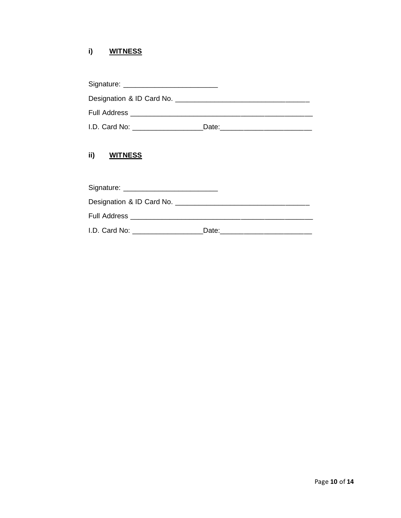#### i) **WITNESS**

| Signature: Signature:          |       |  |  |  |
|--------------------------------|-------|--|--|--|
|                                |       |  |  |  |
| <b>Full Address Example 20</b> |       |  |  |  |
| I.D. Card No: _____________    | Date: |  |  |  |

#### ii) **WITNESS**

| I.D. Card No: | Date: |  |  |  |
|---------------|-------|--|--|--|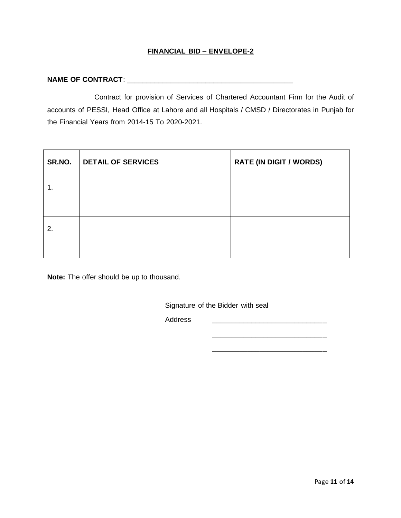#### **FINANCIAL BID – ENVELOPE-2**

#### **NAME OF CONTRACT:**

Contract for provision of Services of Chartered Accountant Firm for the Audit of accounts of PESSI, Head Office at Lahore and all Hospitals / CMSD / Directorates in Punjab for the Financial Years from 2014-15 To 2020-2021.

| SR.NO. | DETAIL OF SERVICES | <b>RATE (IN DIGIT / WORDS)</b> |
|--------|--------------------|--------------------------------|
| 1.     |                    |                                |
|        |                    |                                |
| 2.     |                    |                                |
|        |                    |                                |

**Note:** The offer should be up to thousand.

Signature of the Bidder with seal

Address \_\_\_\_\_\_\_\_\_\_\_\_\_\_\_\_\_\_\_\_\_\_\_\_\_\_\_\_\_

 $\frac{1}{2}$  ,  $\frac{1}{2}$  ,  $\frac{1}{2}$  ,  $\frac{1}{2}$  ,  $\frac{1}{2}$  ,  $\frac{1}{2}$  ,  $\frac{1}{2}$  ,  $\frac{1}{2}$  ,  $\frac{1}{2}$  ,  $\frac{1}{2}$  ,  $\frac{1}{2}$  ,  $\frac{1}{2}$  ,  $\frac{1}{2}$  ,  $\frac{1}{2}$  ,  $\frac{1}{2}$  ,  $\frac{1}{2}$  ,  $\frac{1}{2}$  ,  $\frac{1}{2}$  ,  $\frac{1$ 

\_\_\_\_\_\_\_\_\_\_\_\_\_\_\_\_\_\_\_\_\_\_\_\_\_\_\_\_\_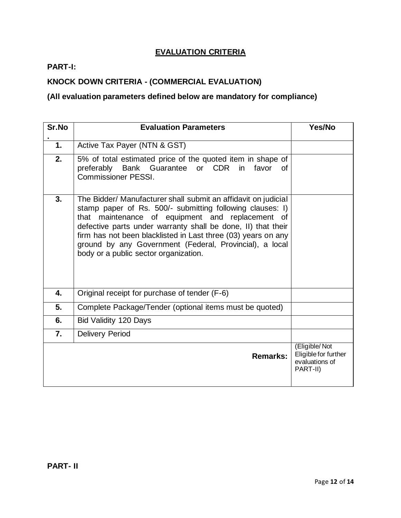# **EVALUATION CRITERIA**

# **PART-I:**

# **KNOCK DOWN CRITERIA - (COMMERCIAL EVALUATION)**

# **(All evaluation parameters defined below are mandatory for compliance)**

| Sr.No | <b>Evaluation Parameters</b>                                                                                                                                                                                                                                                                                                                                                                                         | Yes/No                                                              |
|-------|----------------------------------------------------------------------------------------------------------------------------------------------------------------------------------------------------------------------------------------------------------------------------------------------------------------------------------------------------------------------------------------------------------------------|---------------------------------------------------------------------|
| 1.    | Active Tax Payer (NTN & GST)                                                                                                                                                                                                                                                                                                                                                                                         |                                                                     |
| 2.    | 5% of total estimated price of the quoted item in shape of<br>preferably Bank Guarantee or CDR in<br>favor<br>0f<br><b>Commissioner PESSI.</b>                                                                                                                                                                                                                                                                       |                                                                     |
| 3.    | The Bidder/ Manufacturer shall submit an affidavit on judicial<br>stamp paper of Rs. 500/- submitting following clauses: I)<br>that maintenance of equipment and replacement of<br>defective parts under warranty shall be done, II) that their<br>firm has not been blacklisted in Last three (03) years on any<br>ground by any Government (Federal, Provincial), a local<br>body or a public sector organization. |                                                                     |
| 4.    | Original receipt for purchase of tender (F-6)                                                                                                                                                                                                                                                                                                                                                                        |                                                                     |
| 5.    | Complete Package/Tender (optional items must be quoted)                                                                                                                                                                                                                                                                                                                                                              |                                                                     |
| 6.    | Bid Validity 120 Days                                                                                                                                                                                                                                                                                                                                                                                                |                                                                     |
| 7.    | <b>Delivery Period</b>                                                                                                                                                                                                                                                                                                                                                                                               |                                                                     |
|       | Remarks:                                                                                                                                                                                                                                                                                                                                                                                                             | (Eligible/Not<br>Eligible for further<br>evaluations of<br>PART-II) |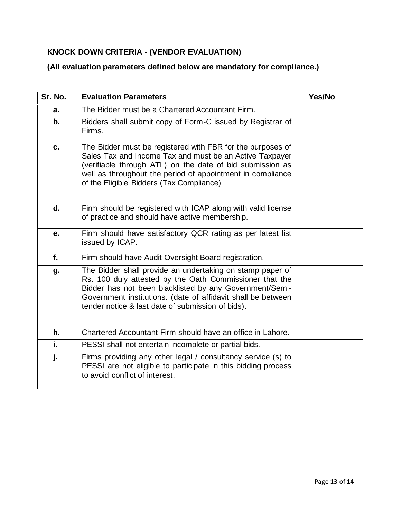# **KNOCK DOWN CRITERIA - (VENDOR EVALUATION)**

# **(All evaluation parameters defined below are mandatory for compliance.)**

| Sr. No. | <b>Evaluation Parameters</b>                                                                                                                                                                                                                                                                         | Yes/No |
|---------|------------------------------------------------------------------------------------------------------------------------------------------------------------------------------------------------------------------------------------------------------------------------------------------------------|--------|
| a.      | The Bidder must be a Chartered Accountant Firm.                                                                                                                                                                                                                                                      |        |
| b.      | Bidders shall submit copy of Form-C issued by Registrar of<br>Firms.                                                                                                                                                                                                                                 |        |
| c.      | The Bidder must be registered with FBR for the purposes of<br>Sales Tax and Income Tax and must be an Active Taxpayer<br>(verifiable through ATL) on the date of bid submission as<br>well as throughout the period of appointment in compliance<br>of the Eligible Bidders (Tax Compliance)         |        |
| d.      | Firm should be registered with ICAP along with valid license<br>of practice and should have active membership.                                                                                                                                                                                       |        |
| е.      | Firm should have satisfactory QCR rating as per latest list<br>issued by ICAP.                                                                                                                                                                                                                       |        |
| f.      | Firm should have Audit Oversight Board registration.                                                                                                                                                                                                                                                 |        |
| g.      | The Bidder shall provide an undertaking on stamp paper of<br>Rs. 100 duly attested by the Oath Commissioner that the<br>Bidder has not been blacklisted by any Government/Semi-<br>Government institutions. (date of affidavit shall be between<br>tender notice & last date of submission of bids). |        |
| h.      | Chartered Accountant Firm should have an office in Lahore.                                                                                                                                                                                                                                           |        |
| i.      | PESSI shall not entertain incomplete or partial bids.                                                                                                                                                                                                                                                |        |
| j.      | Firms providing any other legal / consultancy service (s) to<br>PESSI are not eligible to participate in this bidding process<br>to avoid conflict of interest.                                                                                                                                      |        |